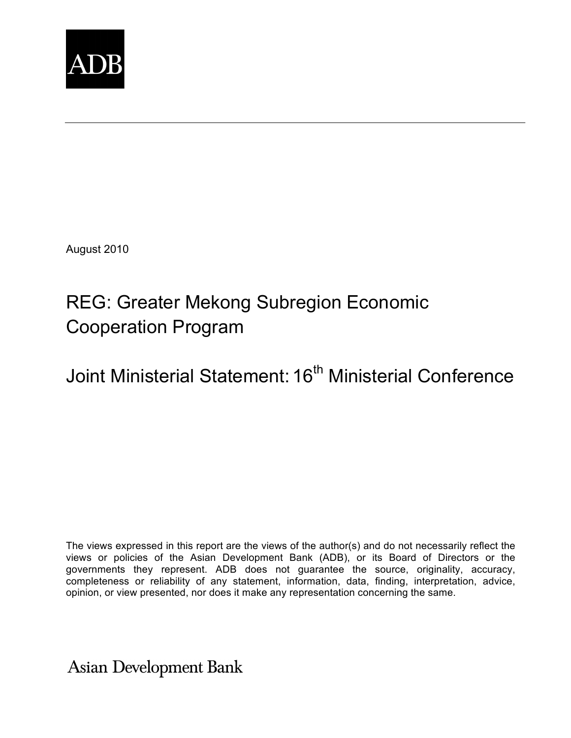

August 2010

# REG: Greater Mekong Subregion Economic Cooperation Program

Joint Ministerial Statement: 16<sup>th</sup> Ministerial Conference

The views expressed in this report are the views of the author(s) and do not necessarily reflect the views or policies of the Asian Development Bank (ADB), or its Board of Directors or the governments they represent. ADB does not guarantee the source, originality, accuracy, completeness or reliability of any statement, information, data, finding, interpretation, advice, opinion, or view presented, nor does it make any representation concerning the same.

**Asian Development Bank**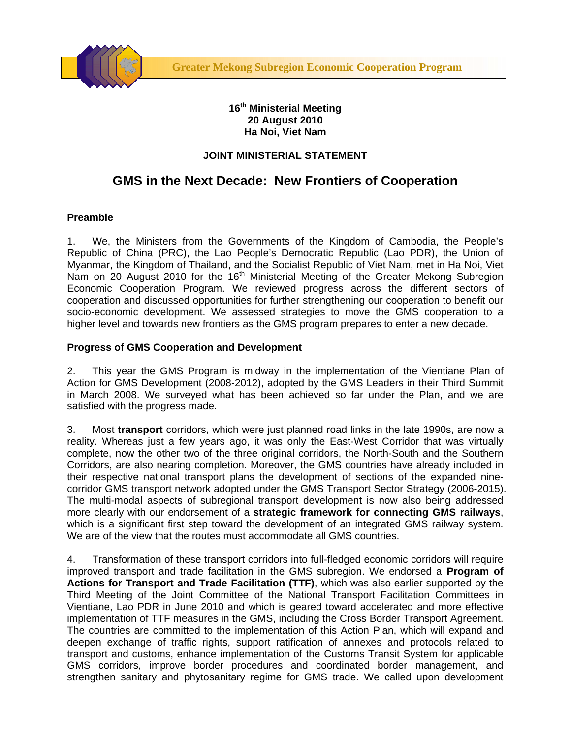

#### **16th Ministerial Meeting 20 August 2010 Ha Noi, Viet Nam**

### **JOINT MINISTERIAL STATEMENT**

## **GMS in the Next Decade: New Frontiers of Cooperation**

#### **Preamble**

1. We, the Ministers from the Governments of the Kingdom of Cambodia, the People's Republic of China (PRC), the Lao People's Democratic Republic (Lao PDR), the Union of Myanmar, the Kingdom of Thailand, and the Socialist Republic of Viet Nam, met in Ha Noi, Viet Nam on 20 August 2010 for the 16<sup>th</sup> Ministerial Meeting of the Greater Mekong Subregion Economic Cooperation Program. We reviewed progress across the different sectors of cooperation and discussed opportunities for further strengthening our cooperation to benefit our socio-economic development. We assessed strategies to move the GMS cooperation to a higher level and towards new frontiers as the GMS program prepares to enter a new decade.

#### **Progress of GMS Cooperation and Development**

2. This year the GMS Program is midway in the implementation of the Vientiane Plan of Action for GMS Development (2008-2012), adopted by the GMS Leaders in their Third Summit in March 2008. We surveyed what has been achieved so far under the Plan, and we are satisfied with the progress made.

3. Most **transport** corridors, which were just planned road links in the late 1990s, are now a reality. Whereas just a few years ago, it was only the East-West Corridor that was virtually complete, now the other two of the three original corridors, the North-South and the Southern Corridors, are also nearing completion. Moreover, the GMS countries have already included in their respective national transport plans the development of sections of the expanded ninecorridor GMS transport network adopted under the GMS Transport Sector Strategy (2006-2015). The multi-modal aspects of subregional transport development is now also being addressed more clearly with our endorsement of a **strategic framework for connecting GMS railways**, which is a significant first step toward the development of an integrated GMS railway system. We are of the view that the routes must accommodate all GMS countries.

4. Transformation of these transport corridors into full-fledged economic corridors will require improved transport and trade facilitation in the GMS subregion. We endorsed a **Program of Actions for Transport and Trade Facilitation (TTF)**, which was also earlier supported by the Third Meeting of the Joint Committee of the National Transport Facilitation Committees in Vientiane, Lao PDR in June 2010 and which is geared toward accelerated and more effective implementation of TTF measures in the GMS, including the Cross Border Transport Agreement. The countries are committed to the implementation of this Action Plan, which will expand and deepen exchange of traffic rights, support ratification of annexes and protocols related to transport and customs, enhance implementation of the Customs Transit System for applicable GMS corridors, improve border procedures and coordinated border management, and strengthen sanitary and phytosanitary regime for GMS trade. We called upon development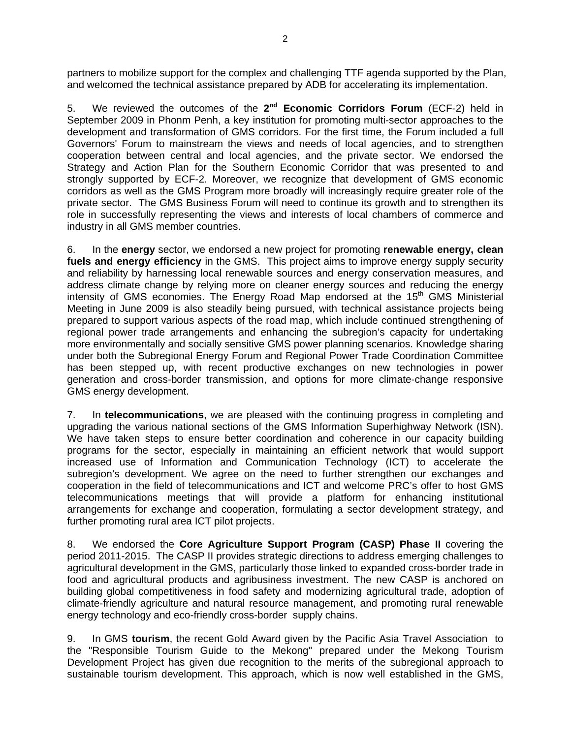partners to mobilize support for the complex and challenging TTF agenda supported by the Plan, and welcomed the technical assistance prepared by ADB for accelerating its implementation.

5. We reviewed the outcomes of the **2nd Economic Corridors Forum** (ECF-2) held in September 2009 in Phonm Penh, a key institution for promoting multi-sector approaches to the development and transformation of GMS corridors. For the first time, the Forum included a full Governors' Forum to mainstream the views and needs of local agencies, and to strengthen cooperation between central and local agencies, and the private sector. We endorsed the Strategy and Action Plan for the Southern Economic Corridor that was presented to and strongly supported by ECF-2. Moreover, we recognize that development of GMS economic corridors as well as the GMS Program more broadly will increasingly require greater role of the private sector. The GMS Business Forum will need to continue its growth and to strengthen its role in successfully representing the views and interests of local chambers of commerce and industry in all GMS member countries.

6. In the **energy** sector, we endorsed a new project for promoting **renewable energy, clean fuels and energy efficiency** in the GMS. This project aims to improve energy supply security and reliability by harnessing local renewable sources and energy conservation measures, and address climate change by relying more on cleaner energy sources and reducing the energy intensity of GMS economies. The Energy Road Map endorsed at the  $15<sup>th</sup>$  GMS Ministerial Meeting in June 2009 is also steadily being pursued, with technical assistance projects being prepared to support various aspects of the road map, which include continued strengthening of regional power trade arrangements and enhancing the subregion's capacity for undertaking more environmentally and socially sensitive GMS power planning scenarios. Knowledge sharing under both the Subregional Energy Forum and Regional Power Trade Coordination Committee has been stepped up, with recent productive exchanges on new technologies in power generation and cross-border transmission, and options for more climate-change responsive GMS energy development.

7. In **telecommunications**, we are pleased with the continuing progress in completing and upgrading the various national sections of the GMS Information Superhighway Network (ISN). We have taken steps to ensure better coordination and coherence in our capacity building programs for the sector, especially in maintaining an efficient network that would support increased use of Information and Communication Technology (ICT) to accelerate the subregion's development. We agree on the need to further strengthen our exchanges and cooperation in the field of telecommunications and ICT and welcome PRC's offer to host GMS telecommunications meetings that will provide a platform for enhancing institutional arrangements for exchange and cooperation, formulating a sector development strategy, and further promoting rural area ICT pilot projects.

8. We endorsed the **Core Agriculture Support Program (CASP) Phase II** covering the period 2011-2015. The CASP II provides strategic directions to address emerging challenges to agricultural development in the GMS, particularly those linked to expanded cross-border trade in food and agricultural products and agribusiness investment. The new CASP is anchored on building global competitiveness in food safety and modernizing agricultural trade, adoption of climate-friendly agriculture and natural resource management, and promoting rural renewable energy technology and eco-friendly cross-border supply chains.

9. In GMS **tourism**, the recent Gold Award given by the Pacific Asia Travel Association to the "Responsible Tourism Guide to the Mekong" prepared under the Mekong Tourism Development Project has given due recognition to the merits of the subregional approach to sustainable tourism development. This approach, which is now well established in the GMS,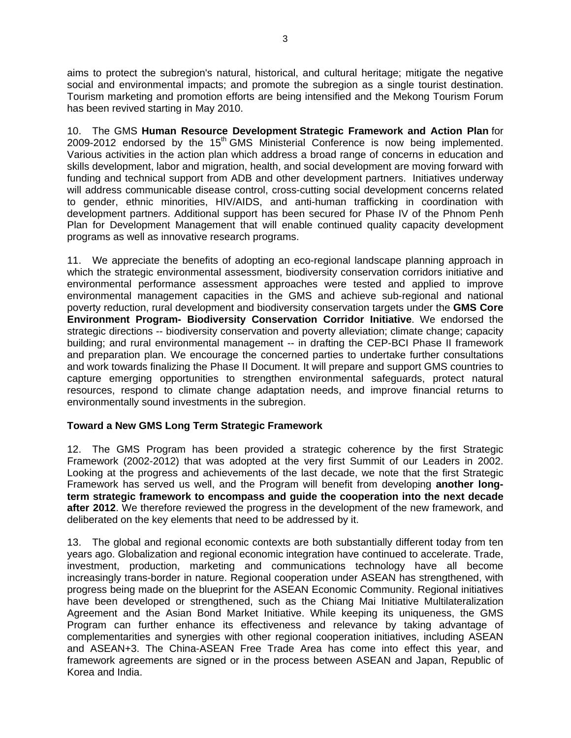aims to protect the subregion's natural, historical, and cultural heritage; mitigate the negative social and environmental impacts; and promote the subregion as a single tourist destination. Tourism marketing and promotion efforts are being intensified and the Mekong Tourism Forum has been revived starting in May 2010.

10. The GMS **Human Resource Development Strategic Framework and Action Plan** for  $2009-2012$  endorsed by the  $15<sup>th</sup>$  GMS Ministerial Conference is now being implemented. Various activities in the action plan which address a broad range of concerns in education and skills development, labor and migration, health, and social development are moving forward with funding and technical support from ADB and other development partners. Initiatives underway will address communicable disease control, cross-cutting social development concerns related to gender, ethnic minorities, HIV/AIDS, and anti-human trafficking in coordination with development partners. Additional support has been secured for Phase IV of the Phnom Penh Plan for Development Management that will enable continued quality capacity development programs as well as innovative research programs.

11. We appreciate the benefits of adopting an eco-regional landscape planning approach in which the strategic environmental assessment, biodiversity conservation corridors initiative and environmental performance assessment approaches were tested and applied to improve environmental management capacities in the GMS and achieve sub-regional and national poverty reduction, rural development and biodiversity conservation targets under the **GMS Core Environment Program- Biodiversity Conservation Corridor Initiative**. We endorsed the strategic directions -- biodiversity conservation and poverty alleviation; climate change; capacity building; and rural environmental management -- in drafting the CEP-BCI Phase II framework and preparation plan. We encourage the concerned parties to undertake further consultations and work towards finalizing the Phase II Document. It will prepare and support GMS countries to capture emerging opportunities to strengthen environmental safeguards, protect natural resources, respond to climate change adaptation needs, and improve financial returns to environmentally sound investments in the subregion.

#### **Toward a New GMS Long Term Strategic Framework**

12. The GMS Program has been provided a strategic coherence by the first Strategic Framework (2002-2012) that was adopted at the very first Summit of our Leaders in 2002. Looking at the progress and achievements of the last decade, we note that the first Strategic Framework has served us well, and the Program will benefit from developing **another longterm strategic framework to encompass and guide the cooperation into the next decade after 2012**. We therefore reviewed the progress in the development of the new framework, and deliberated on the key elements that need to be addressed by it.

13. The global and regional economic contexts are both substantially different today from ten years ago. Globalization and regional economic integration have continued to accelerate. Trade, investment, production, marketing and communications technology have all become increasingly trans-border in nature. Regional cooperation under ASEAN has strengthened, with progress being made on the blueprint for the ASEAN Economic Community. Regional initiatives have been developed or strengthened, such as the Chiang Mai Initiative Multilateralization Agreement and the Asian Bond Market Initiative. While keeping its uniqueness, the GMS Program can further enhance its effectiveness and relevance by taking advantage of complementarities and synergies with other regional cooperation initiatives, including ASEAN and ASEAN+3. The China-ASEAN Free Trade Area has come into effect this year, and framework agreements are signed or in the process between ASEAN and Japan, Republic of Korea and India.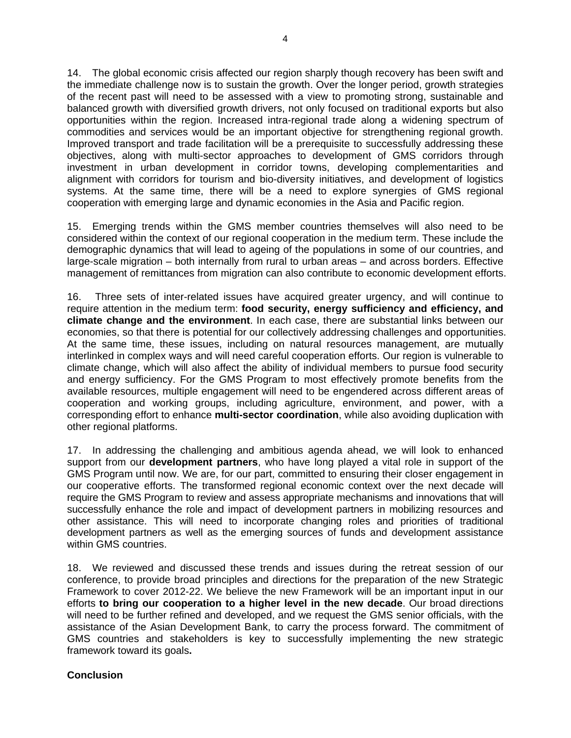14. The global economic crisis affected our region sharply though recovery has been swift and the immediate challenge now is to sustain the growth. Over the longer period, growth strategies of the recent past will need to be assessed with a view to promoting strong, sustainable and balanced growth with diversified growth drivers, not only focused on traditional exports but also opportunities within the region. Increased intra-regional trade along a widening spectrum of commodities and services would be an important objective for strengthening regional growth. Improved transport and trade facilitation will be a prerequisite to successfully addressing these objectives, along with multi-sector approaches to development of GMS corridors through investment in urban development in corridor towns, developing complementarities and alignment with corridors for tourism and bio-diversity initiatives, and development of logistics systems. At the same time, there will be a need to explore synergies of GMS regional cooperation with emerging large and dynamic economies in the Asia and Pacific region.

15. Emerging trends within the GMS member countries themselves will also need to be considered within the context of our regional cooperation in the medium term. These include the demographic dynamics that will lead to ageing of the populations in some of our countries, and large-scale migration – both internally from rural to urban areas – and across borders. Effective management of remittances from migration can also contribute to economic development efforts.

16. Three sets of inter-related issues have acquired greater urgency, and will continue to require attention in the medium term: **food security, energy sufficiency and efficiency, and climate change and the environment**. In each case, there are substantial links between our economies, so that there is potential for our collectively addressing challenges and opportunities. At the same time, these issues, including on natural resources management, are mutually interlinked in complex ways and will need careful cooperation efforts. Our region is vulnerable to climate change, which will also affect the ability of individual members to pursue food security and energy sufficiency. For the GMS Program to most effectively promote benefits from the available resources, multiple engagement will need to be engendered across different areas of cooperation and working groups, including agriculture, environment, and power, with a corresponding effort to enhance **multi-sector coordination**, while also avoiding duplication with other regional platforms.

17. In addressing the challenging and ambitious agenda ahead, we will look to enhanced support from our **development partners**, who have long played a vital role in support of the GMS Program until now. We are, for our part, committed to ensuring their closer engagement in our cooperative efforts. The transformed regional economic context over the next decade will require the GMS Program to review and assess appropriate mechanisms and innovations that will successfully enhance the role and impact of development partners in mobilizing resources and other assistance. This will need to incorporate changing roles and priorities of traditional development partners as well as the emerging sources of funds and development assistance within GMS countries.

18. We reviewed and discussed these trends and issues during the retreat session of our conference, to provide broad principles and directions for the preparation of the new Strategic Framework to cover 2012-22. We believe the new Framework will be an important input in our efforts **to bring our cooperation to a higher level in the new decade**. Our broad directions will need to be further refined and developed, and we request the GMS senior officials, with the assistance of the Asian Development Bank, to carry the process forward. The commitment of GMS countries and stakeholders is key to successfully implementing the new strategic framework toward its goals**.**

#### **Conclusion**